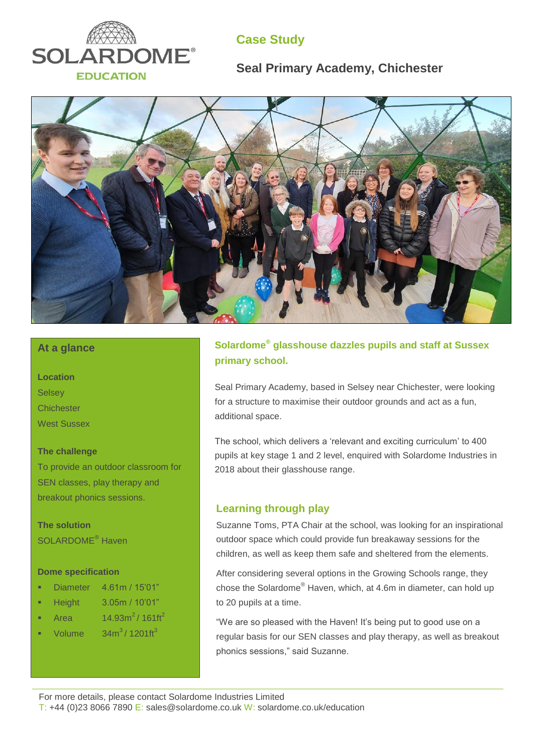

# **Case Study**

# **Seal Primary Academy, Chichester**



### **At a glance**

**Location Selsey Chichester** West Sussex

#### **The challenge**

To provide an outdoor classroom for SEN classes, play therapy and breakout phonics sessions.

**The solution** SOLARDOME® Haven

#### **Dome specification**

- Diameter 4.61m / 15'01"
- Height 3.05m / 10'01"
- Area  $14.93m^2/ 161ft^2$
- Volume  $34m^3/1201ff^3$

### **Solardome® glasshouse dazzles pupils and staff at Sussex primary school.**

Seal Primary Academy, based in Selsey near Chichester, were looking for a structure to maximise their outdoor grounds and act as a fun, additional space.

The school, which delivers a 'relevant and exciting curriculum' to 400 pupils at key stage 1 and 2 level, enquired with Solardome Industries in 2018 about their glasshouse range.

### **Learning through play**

Suzanne Toms, PTA Chair at the school, was looking for an inspirational outdoor space which could provide fun breakaway sessions for the children, as well as keep them safe and sheltered from the elements.

After considering several options in the Growing Schools range, they chose the Solardome® Haven, which, at 4.6m in diameter, can hold up to 20 pupils at a time.

"We are so pleased with the Haven! It's being put to good use on a regular basis for our SEN classes and play therapy, as well as breakout phonics sessions," said Suzanne.